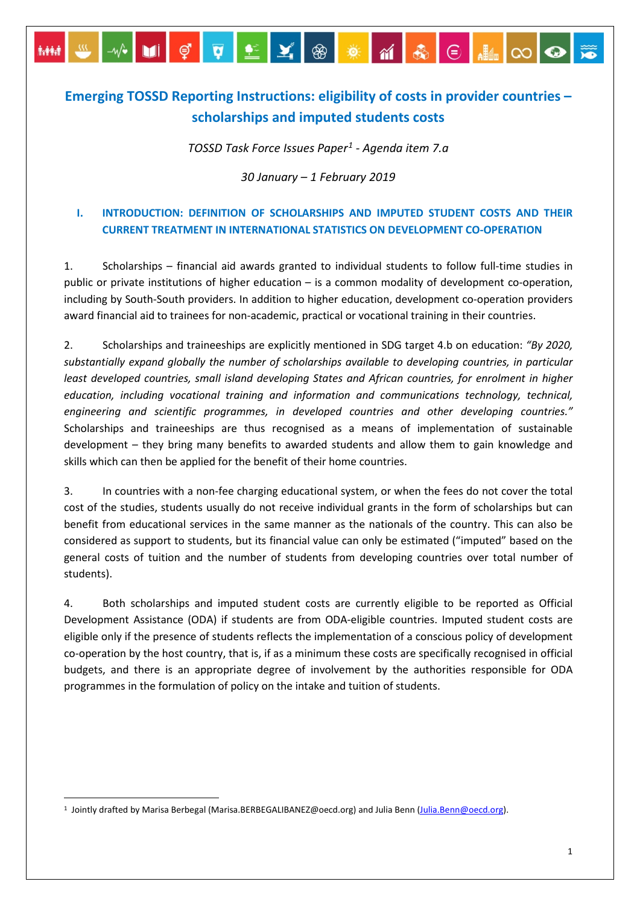# **Emerging TOSSD Reporting Instructions: eligibility of costs in provider countries – scholarships and imputed students costs**

<u>₩</u>₩}**UI**ÇQQ≚X@XXXQ

**AMM** 

*TOSSD Task Force Issues Paper[1](#page-0-0) - Agenda item 7.a*

*30 January – 1 February 2019*

## **I. INTRODUCTION: DEFINITION OF SCHOLARSHIPS AND IMPUTED STUDENT COSTS AND THEIR CURRENT TREATMENT IN INTERNATIONAL STATISTICS ON DEVELOPMENT CO-OPERATION**

1. Scholarships – financial aid awards granted to individual students to follow full-time studies in public or private institutions of higher education – is a common modality of development co-operation, including by South-South providers. In addition to higher education, development co-operation providers award financial aid to trainees for non-academic, practical or vocational training in their countries.

2. Scholarships and traineeships are explicitly mentioned in SDG target 4.b on education: *"By 2020, substantially expand globally the number of scholarships available to developing countries, in particular least developed countries, small island developing States and African countries, for enrolment in higher education, including vocational training and information and communications technology, technical, engineering and scientific programmes, in developed countries and other developing countries."* Scholarships and traineeships are thus recognised as a means of implementation of sustainable development – they bring many benefits to awarded students and allow them to gain knowledge and skills which can then be applied for the benefit of their home countries.

3. In countries with a non-fee charging educational system, or when the fees do not cover the total cost of the studies, students usually do not receive individual grants in the form of scholarships but can benefit from educational services in the same manner as the nationals of the country. This can also be considered as support to students, but its financial value can only be estimated ("imputed" based on the general costs of tuition and the number of students from developing countries over total number of students).

4. Both scholarships and imputed student costs are currently eligible to be reported as Official Development Assistance (ODA) if students are from ODA-eligible countries. Imputed student costs are eligible only if the presence of students reflects the implementation of a conscious policy of development co-operation by the host country, that is, if as a minimum these costs are specifically recognised in official budgets, and there is an appropriate degree of involvement by the authorities responsible for ODA programmes in the formulation of policy on the intake and tuition of students.

<span id="page-0-0"></span><sup>&</sup>lt;sup>1</sup> Jointly drafted by Marisa Berbegal (Marisa.BERBEGALIBANEZ@oecd.org) and Julia Benn [\(Julia.Benn@oecd.org\)](mailto:Julia.Benn@oecd.org).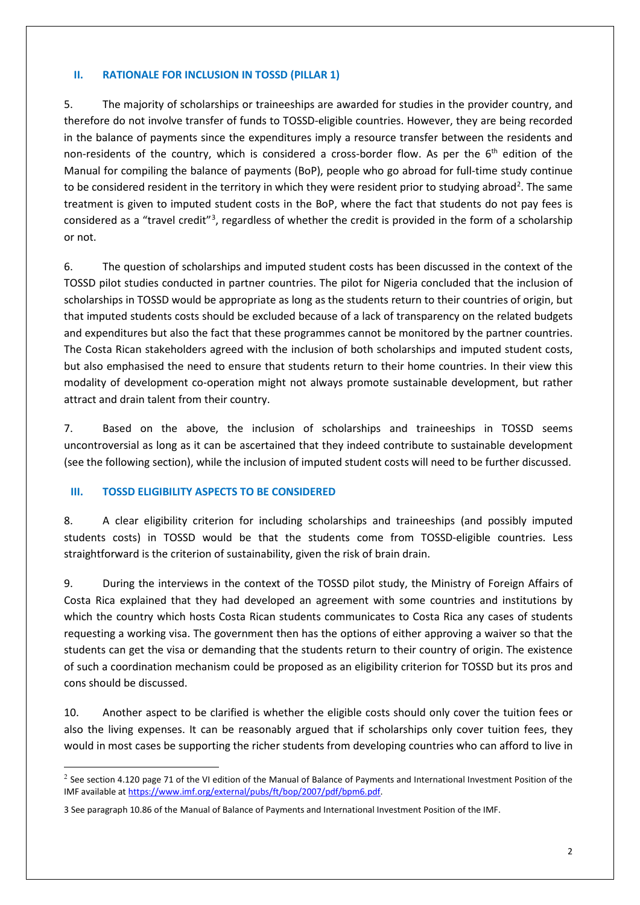#### **II. RATIONALE FOR INCLUSION IN TOSSD (PILLAR 1)**

5. The majority of scholarships or traineeships are awarded for studies in the provider country, and therefore do not involve transfer of funds to TOSSD-eligible countries. However, they are being recorded in the balance of payments since the expenditures imply a resource transfer between the residents and non-residents of the country, which is considered a cross-border flow. As per the  $6<sup>th</sup>$  edition of the Manual for compiling the balance of payments (BoP), people who go abroad for full-time study continue to be considered resident in the territory in which they were resident prior to studying abroad<sup>[2](#page-1-0)</sup>. The same treatment is given to imputed student costs in the BoP, where the fact that students do not pay fees is considered as a "travel credit"<sup>[3](#page-1-1)</sup>, regardless of whether the credit is provided in the form of a scholarship or not.

6. The question of scholarships and imputed student costs has been discussed in the context of the TOSSD pilot studies conducted in partner countries. The pilot for Nigeria concluded that the inclusion of scholarships in TOSSD would be appropriate as long as the students return to their countries of origin, but that imputed students costs should be excluded because of a lack of transparency on the related budgets and expenditures but also the fact that these programmes cannot be monitored by the partner countries. The Costa Rican stakeholders agreed with the inclusion of both scholarships and imputed student costs, but also emphasised the need to ensure that students return to their home countries. In their view this modality of development co-operation might not always promote sustainable development, but rather attract and drain talent from their country.

7. Based on the above, the inclusion of scholarships and traineeships in TOSSD seems uncontroversial as long as it can be ascertained that they indeed contribute to sustainable development (see the following section), while the inclusion of imputed student costs will need to be further discussed.

### **III. TOSSD ELIGIBILITY ASPECTS TO BE CONSIDERED**

8. A clear eligibility criterion for including scholarships and traineeships (and possibly imputed students costs) in TOSSD would be that the students come from TOSSD-eligible countries. Less straightforward is the criterion of sustainability, given the risk of brain drain.

9. During the interviews in the context of the TOSSD pilot study, the Ministry of Foreign Affairs of Costa Rica explained that they had developed an agreement with some countries and institutions by which the country which hosts Costa Rican students communicates to Costa Rica any cases of students requesting a working visa. The government then has the options of either approving a waiver so that the students can get the visa or demanding that the students return to their country of origin. The existence of such a coordination mechanism could be proposed as an eligibility criterion for TOSSD but its pros and cons should be discussed.

10. Another aspect to be clarified is whether the eligible costs should only cover the tuition fees or also the living expenses. It can be reasonably argued that if scholarships only cover tuition fees, they would in most cases be supporting the richer students from developing countries who can afford to live in

<span id="page-1-0"></span> $\overline{a}$  $2$  See section 4.120 page 71 of the VI edition of the Manual of Balance of Payments and International Investment Position of the IMF available a[t https://www.imf.org/external/pubs/ft/bop/2007/pdf/bpm6.pdf.](https://www.imf.org/external/pubs/ft/bop/2007/pdf/bpm6.pdf)

<span id="page-1-1"></span><sup>3</sup> See paragraph 10.86 of the Manual of Balance of Payments and International Investment Position of the IMF.